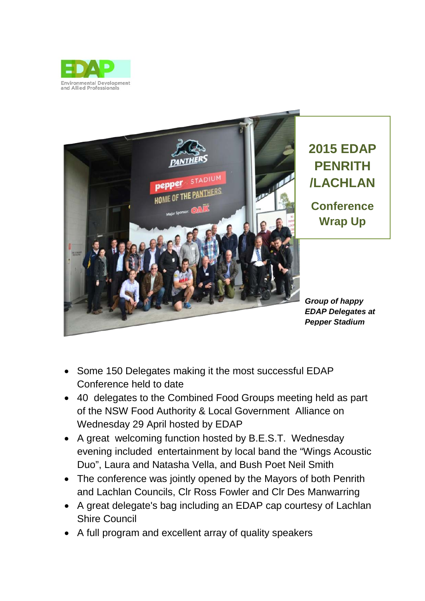



- Some 150 Delegates making it the most successful EDAP Conference held to date
- 40 delegates to the Combined Food Groups meeting held as part of the NSW Food Authority & Local Government Alliance on Wednesday 29 April hosted by EDAP
- A great welcoming function hosted by B.E.S.T. Wednesday evening included entertainment by local band the "Wings Acoustic Duo", Laura and Natasha Vella, and Bush Poet Neil Smith
- The conference was jointly opened by the Mayors of both Penrith and Lachlan Councils, Clr Ross Fowler and Clr Des Manwarring
- A great delegate's bag including an EDAP cap courtesy of Lachlan Shire Council
- A full program and excellent array of quality speakers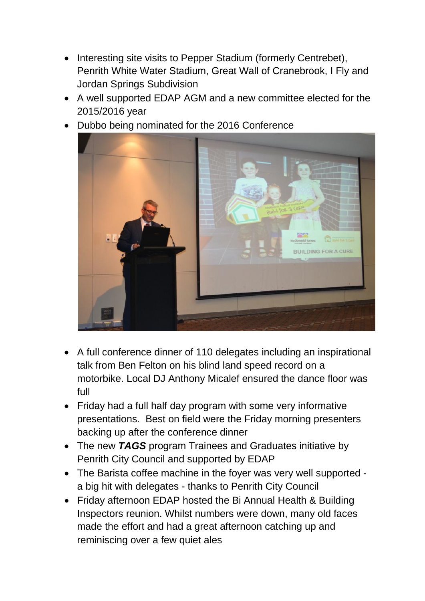- Interesting site visits to Pepper Stadium (formerly Centrebet), Penrith White Water Stadium, Great Wall of Cranebrook, I Fly and Jordan Springs Subdivision
- A well supported EDAP AGM and a new committee elected for the 2015/2016 year
- Dubbo being nominated for the 2016 Conference



- A full conference dinner of 110 delegates including an inspirational talk from Ben Felton on his blind land speed record on a motorbike. Local DJ Anthony Micalef ensured the dance floor was full
- Friday had a full half day program with some very informative presentations. Best on field were the Friday morning presenters backing up after the conference dinner
- The new *TAGS* program Trainees and Graduates initiative by Penrith City Council and supported by EDAP
- The Barista coffee machine in the foyer was very well supported a big hit with delegates - thanks to Penrith City Council
- Friday afternoon EDAP hosted the Bi Annual Health & Building Inspectors reunion. Whilst numbers were down, many old faces made the effort and had a great afternoon catching up and reminiscing over a few quiet ales